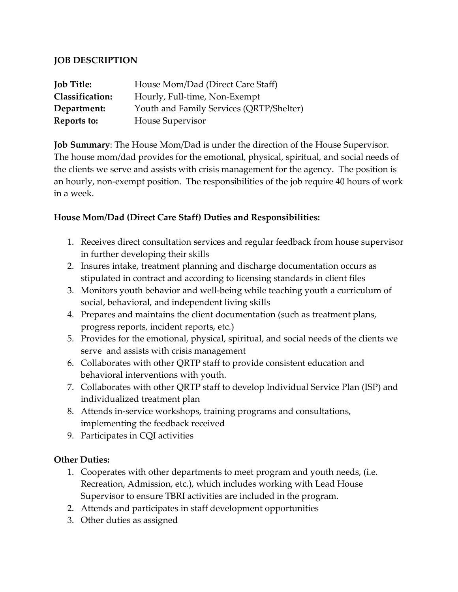### **JOB DESCRIPTION**

| <b>Job Title:</b>      | House Mom/Dad (Direct Care Staff)        |
|------------------------|------------------------------------------|
| <b>Classification:</b> | Hourly, Full-time, Non-Exempt            |
| Department:            | Youth and Family Services (QRTP/Shelter) |
| Reports to:            | House Supervisor                         |

**Job Summary**: The House Mom/Dad is under the direction of the House Supervisor. The house mom/dad provides for the emotional, physical, spiritual, and social needs of the clients we serve and assists with crisis management for the agency. The position is an hourly, non-exempt position. The responsibilities of the job require 40 hours of work in a week.

### **House Mom/Dad (Direct Care Staff) Duties and Responsibilities:**

- 1. Receives direct consultation services and regular feedback from house supervisor in further developing their skills
- 2. Insures intake, treatment planning and discharge documentation occurs as stipulated in contract and according to licensing standards in client files
- 3. Monitors youth behavior and well-being while teaching youth a curriculum of social, behavioral, and independent living skills
- 4. Prepares and maintains the client documentation (such as treatment plans, progress reports, incident reports, etc.)
- 5. Provides for the emotional, physical, spiritual, and social needs of the clients we serve and assists with crisis management
- 6. Collaborates with other QRTP staff to provide consistent education and behavioral interventions with youth.
- 7. Collaborates with other QRTP staff to develop Individual Service Plan (ISP) and individualized treatment plan
- 8. Attends in-service workshops, training programs and consultations, implementing the feedback received
- 9. Participates in CQI activities

#### **Other Duties:**

- 1. Cooperates with other departments to meet program and youth needs, (i.e. Recreation, Admission, etc.), which includes working with Lead House Supervisor to ensure TBRI activities are included in the program.
- 2. Attends and participates in staff development opportunities
- 3. Other duties as assigned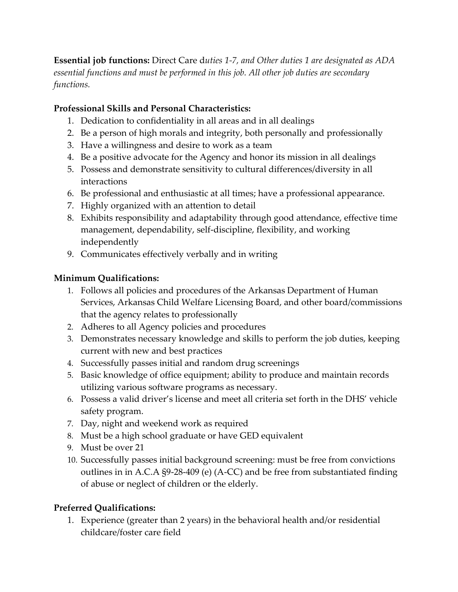**Essential job functions:** Direct Care d*uties 1-7, and Other duties 1 are designated as ADA essential functions and must be performed in this job. All other job duties are secondary functions.*

# **Professional Skills and Personal Characteristics:**

- 1. Dedication to confidentiality in all areas and in all dealings
- 2. Be a person of high morals and integrity, both personally and professionally
- 3. Have a willingness and desire to work as a team
- 4. Be a positive advocate for the Agency and honor its mission in all dealings
- 5. Possess and demonstrate sensitivity to cultural differences/diversity in all interactions
- 6. Be professional and enthusiastic at all times; have a professional appearance.
- 7. Highly organized with an attention to detail
- 8. Exhibits responsibility and adaptability through good attendance, effective time management, dependability, self-discipline, flexibility, and working independently
- 9. Communicates effectively verbally and in writing

# **Minimum Qualifications:**

- 1. Follows all policies and procedures of the Arkansas Department of Human Services, Arkansas Child Welfare Licensing Board, and other board/commissions that the agency relates to professionally
- 2. Adheres to all Agency policies and procedures
- 3. Demonstrates necessary knowledge and skills to perform the job duties, keeping current with new and best practices
- 4. Successfully passes initial and random drug screenings
- 5. Basic knowledge of office equipment; ability to produce and maintain records utilizing various software programs as necessary.
- 6. Possess a valid driver's license and meet all criteria set forth in the DHS' vehicle safety program.
- 7. Day, night and weekend work as required
- 8. Must be a high school graduate or have GED equivalent
- 9. Must be over 21
- 10. Successfully passes initial background screening: must be free from convictions outlines in in A.C.A §9-28-409 (e) (A-CC) and be free from substantiated finding of abuse or neglect of children or the elderly.

# **Preferred Qualifications:**

1. Experience (greater than 2 years) in the behavioral health and/or residential childcare/foster care field